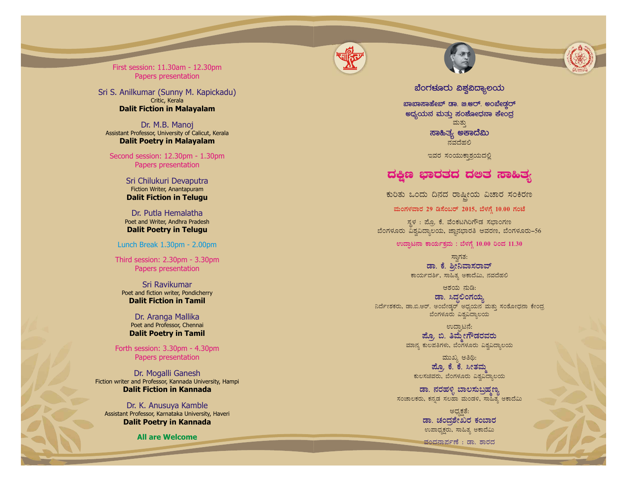

First session: 11.30am - 12.30pm Papers presentation

Critic, Kerala **Dalit Fiction in Malayalam** Sri S. Anilkumar (Sunny M. Kapickadu)

Assistant Professor, University of Calicut, Kerala **Dalit Poetry in Malayalam** Dr. M.B. Manoj

Second session: 12.30pm - 1.30pm Papers presentation

> Fiction Writer, Anantapuram **Dalit Fiction in Telugu** Sri Chilukuri Devaputr a

Poet and Writer, Andhra Pradesh **Dalit Poetry in Telugu** Dr. Putla Hemalatha

Lunch Break 1.30pm - 2.00pm

Third session: 2.30pm - 3.30pm Papers presentation

Poet and fiction writer, Pondicherry **Dalit Fiction in Tamil** Sri Ravikumar

> Poet and Professor, Chennai **Dalit Poetry in Tamil** Dr. Aranga Mallika

Forth session: 3.30pm - 4.30pm Papers presentation

Fiction writer and Professor, Kannada University, Hampi **Dalit Fiction in Kannada** Dr. Mogalli Ganesh

Assistant Professor, Karnataka University, Haveri **Dalit Poetry in Kannada** Dr. K. Anusuya Kamble

**All are Welcome**



 $rac{1}{2}$  analysidea<sup>r</sup> and  $rac{1}{2}$  and  $rac{1}{2}$  and  $rac{1}{2}$ ಅಧ್ಯಯನ ಮತ್ತು ಸಂ**ಶೋಧನಾ ಕೇಂ**ದ್ರ **ಸಾಹಿತ್ಯ ಅಕಾದೆಮಿ** ಮತ್ತು  $\bar{a}$ ವದೆಹಲಿ

ಇವರ ಸಂಯುಕಾಶ್ರಯದಲ್ಲಿ

## ದಕ್ಷಿಣ ಭಾರತದ ದ**ಅತ** ಸಾಹಿತ್ಯ

ಕುರಿತು ಒಂದು ದಿನದ ರಾಷ್ಟೀಯ ವಿಚಾರ ಸಂಕಿರಣ

ಹುಂಗಳವಾರ 29 ಡಿಸೆಂಬರ್ 2015, ಬೆಳಗ್ಗೆ 10.00 ಗಂಟೆ

ಸ್ಥಳ : ಮೊ. ಕೆ. ವೆಂಕಟಗಿರಿಗೌಡ ಸಭಾಂಗಣ ಬೆಂಗಳೂರು ವಿಶ್ರವಿದ್ಯಾಲಯ, ಜ್ಞಾನಭಾರತಿ ಆವರಣ, ಬೆಂಗಳೂರು–56

ಉದ್ಘಾಟನಾ ಕಾರ್ಯಕ್ರಮ : ಬೆಳಗ್ಗೆ 10.00 ರಿಂದ 11.30

ಡಾ. ಕೆ. ಶೀನಿವಾಸರಾವ್ ಸ್ರಾಗತ: ಕಾರ್ಯದರ್ಶಿ, ಸಾಹಿತ್ಯ ಅಕಾದೆಮಿ, ನವದೆಹಲಿ

ಆಶಯ ನುಡಿ:

ಡಾ. ಸಿದ್ಧಲಿಂಗಯ್<mark>ನ</mark> ವಿರ್ದೇಶಕರು, ಡಾ.ಬಿ.ಆರ್. ಅಂಬೇಡ್ಗರ್ ಅಧ್ಯಯನ ಮತ್ತು ಸಂಶೋಧನಾ ಕೇಂದ್ರ ಬೆಂಗಳೂರು ವಿಶ್ವವಿದ್ಯಾಲಯ

> <u>ಪೊ. ಬಿ. ತಿಮೇಗೌಡರವರು</u> ಉದಾಟನೆ: ಮಾನ್ಯ ಕುಲಪತಿಗಳು, ಬೆಂಗಳೂರು ವಿಶ್ವವಿದ್ಯಾಲಯ

ಹ್ಮೊ ಕೆ. ಕೆ. ಸೀತಮ ಮುಖ್ಯ ಅತಿಥಿ: ಕುಲಸಚಿವರು, ಬೆಂಗಳೂರು ವಿಶ್ವವಿದ್ಯಾಲಯ

<mark>ಡಾ</mark>. ನರಹಳ್ಳಿ ಬಾಲಸುಬ್ರಹ್ಮಣ್ಯ ಸಂಚಾಲಕರು, ಕನ್ನಡ ಸಲಹಾ ಮಂಡಳಿ, ಸಾಹಿತ್ಯ ಅಕಾದೆಮಿ

> ಡಾ. ಚಂದ್ರ**ೇಖರ ಕಂ**ಬಾರ ಅಧ್ಯಕತೆ: ಉಪಾಧ್ಯಕ್ಷರು, ಸಾಹಿತ್ಯ ಅಕಾದೆಮಿ

ವಂದನಾರ್ಪಣೆ : ಡಾ. ಶಾರದ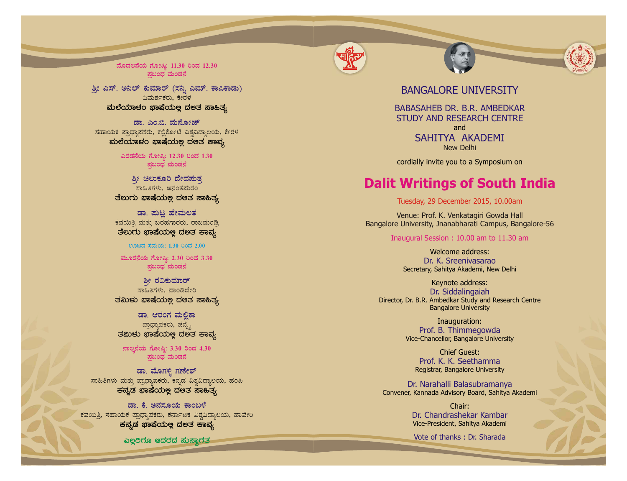

**ªÉÆzÀ®£ÉAiÀÄ UÉÆÃ¶×: 11.30 jAzÀ 12.30 ¥Àæ§AzsÀ ªÀÄAqÀ£É**

ವಿಮರ್ಶಕರು, ಕೇರಳ **ªÀįÉAiÀiÁ¼ÀA ¨sÁµÉAiÀİè zÀ°vÀ ¸Á»vÀå** ಶ್ಮೀ ಎಸ್. ಅನಿಲ್ ಕುಮಾರ್ (ಸನ್ನಿ ಎಮ್. ಕಾಪಿಕಾಡು)

ಸಹಾಯಕ ಪ್ರಾಧ್ಯಾಪಕರು, ಕಲ್ಲಿಕೋಟೆ ವಿಶ್ರವಿದ್ಯಾಲಯ, ಕೇರಳ aುಲೆಯಾಳಂ ಭಾಷೆಯಲ್ಲ ದಲತ ಕಾವ್ಯ ಡಾ. ಎಂ.ಬಿ. ಮನೋಜ್

> **JgÀqÀ£ÉAiÀÄ UÉÆÃ¶×: 12.30 jAzÀ 1.30**  $\frac{1}{2}$ ಷಬಂಧ ಮಂಡನೆ

ತೆಲುಗು ಭಾಷೆಯಲ್ಲ ದ**ಅತ** ಸಾಹಿತ್ಯ <u>ಶೀ</u> ಚಿಲುಕೂರಿ ದೇವಪುತ್ತ ಸಾಹಿತಿಗಳು, <mark>ಅ</mark>ನಂತಮರಂ

ಕವಯಿತ್ರಿ ಮತ್ತು ಬರಹಗಾರರು, ರಾಜಮಂಡ್ರಿ ತೆಲುಗು **ಭಾಷೆಯ**ಅ್ಲ ದಅತ ಕಾವ್ಯ ಡಾ. **ಮಟ್ಟ ಹೇಮಲತ** 

**ಊಟದ ಸಮಯ: 1.30 ರಿಂದ 2.00** 

ಮೂರನೆಯ ಗೋಷಿ: 2.30 ರಿಂದ 3.30  $\frac{1}{2}$ ಷಬಂಧ ಮಂಡನೆ

<u>ಶೀ</u> ರವಿಕುಮಾರ್ ಸಾಹಿತಿಗಳು. ಪಾಂಡಿಚೇರಿ ತಮಿಳು ಭಾಷೆಯ**ಲ್ಲ ದ**ಅತ ಸಾಹಿತ್ಯ

ಡಾ. ಆರಂಗ ಮಲಿಕಾ ಪ್ರಾಧ್ಯಾಪಕರು, ಚೆನ್ಸ್ನೆ ತಮಿಳು **ಭಾಷೆಯ**ಲ್ಲ ದಅತ ಕಾವ್ಯ

 $a_1$ ಸಂಖ್ಯ: 3.30 ರಿಂದ 4.30 **¥Àæ§AzsÀ ªÀÄAqÀ£É**

ಾಹಿತಿಗಳು ಮತ್ತು ಪ್ರಾಧ್ಯಾಪಕರು, ಕನ್ನಡ ವಿಶ್ವವಿದ್ಯಾಲಯ, ಹಂಪಿ **ಕನ್ನಡ ಭಾಷೆಯಲ್ಲ ದಅತ ಸಾಹಿತ್ಯ** ಡಾ. ಮೊಗಳ್ಳಿ ಗಣೇಶ್

ಕವಯಿತ್ರಿ, ಸಹಾಯಕ ಪ್ರಾಧ್ನಾಪಕರು, ಕರ್ನಾಟಕ ವಿಶ್ವವಿದ್ನಾಲಯ, ಹಾವೇರಿ **ಕನ್ನಡ ಭಾಷೆಯಲ್ಲ ದಲತ ಕಾವ್ಯ ಢಾ. ಕೆ. ಅನಸೂಯ ಕಾಂಬಳೆ** 

*ಎಲ್ಲ***ಿಗೂ ಆದರದ ಸುಸ್ತಾರತ** 

## BANGALORE UNIVERSITY

BABASAHEB DR. B.R. AMBEDKAR STUDY AND RESEARCH CENTRE SAHITYA AKADEMI and New Delhi

cordially invite you to a Symposium on

## **Dalit Writings of South India**

Venue: Prof. K. Venkatagiri Gowda Hall Bangalore University, Jnanabharati Campus, Bangalore-56 Tuesday, 29 December 2015, 10.00am<br>
Venue: Prof. K. Venkatagiri Gowda Hall<br>
Jonne University, Jnanabharati Campus, Banga<br>
Inaugural Session : 10.00 am to 11.30 am

Dr. K. Sreenivasarao Welcome address: Secretary, Sahitya Akademi, New Delhi

Dr. Siddalingaiah Keynote address: Director, Dr. B.R. Ambedkar Study and Research Centre Bangalore University

> Prof. B. Thimmegowda Inauguration: Vice-Chancellor, Bangalore University

Prof. K. K. Seethamma Chief Guest: Registrar, Bangalore University

Dr. Narahalli Balasubraman y a Convener, Kannada Advisory Board, Sahitya Akademi

> Dr. Chandrashekar Kambar Chair: Vice-President, Sahitya Akademi

Vote of thanks : Dr. Sharada